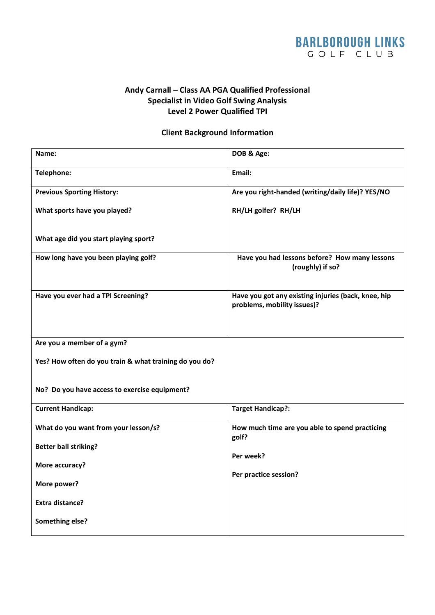## **BARLBOROUGH LINKS** GOLF CLUB

## **Andy Carnall – Class AA PGA Qualified Professional Specialist in Video Golf Swing Analysis Level 2 Power Qualified TPI**

## **Client Background Information**

| Name:                                                  | DOB & Age:                                                                         |
|--------------------------------------------------------|------------------------------------------------------------------------------------|
| Telephone:                                             | Email:                                                                             |
| <b>Previous Sporting History:</b>                      | Are you right-handed (writing/daily life)? YES/NO                                  |
| What sports have you played?                           | RH/LH golfer? RH/LH                                                                |
| What age did you start playing sport?                  |                                                                                    |
| How long have you been playing golf?                   | Have you had lessons before? How many lessons<br>(roughly) if so?                  |
| Have you ever had a TPI Screening?                     | Have you got any existing injuries (back, knee, hip<br>problems, mobility issues)? |
| Are you a member of a gym?                             |                                                                                    |
| Yes? How often do you train & what training do you do? |                                                                                    |
| No? Do you have access to exercise equipment?          |                                                                                    |
| <b>Current Handicap:</b>                               | <b>Target Handicap?:</b>                                                           |
| What do you want from your lesson/s?                   | How much time are you able to spend practicing<br>golf?                            |
| <b>Better ball striking?</b>                           | Per week?                                                                          |
| More accuracy?                                         |                                                                                    |
| More power?                                            | Per practice session?                                                              |
| <b>Extra distance?</b>                                 |                                                                                    |
| Something else?                                        |                                                                                    |